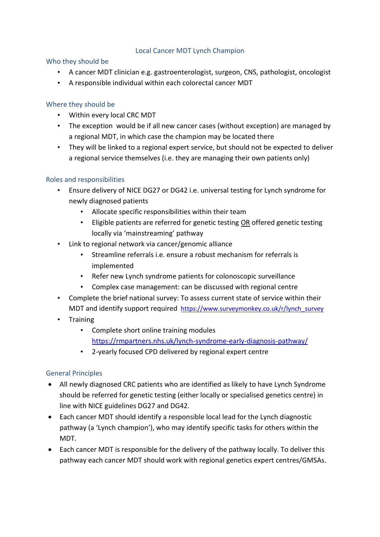# Local Cancer MDT Lynch Champion

### Who they should be

- A cancer MDT clinician e.g. gastroenterologist, surgeon, CNS, pathologist, oncologist
- A responsible individual within each colorectal cancer MDT

## Where they should be

- Within every local CRC MDT
- The exception would be if all new cancer cases (without exception) are managed by a regional MDT, in which case the champion may be located there
- They will be linked to a regional expert service, but should not be expected to deliver a regional service themselves (i.e. they are managing their own patients only)

### Roles and responsibilities

- Ensure delivery of NICE DG27 or DG42 i.e. universal testing for Lynch syndrome for newly diagnosed patients
	- Allocate specific responsibilities within their team
	- Eligible patients are referred for genetic testing OR offered genetic testing locally via 'mainstreaming' pathway
- Link to regional network via cancer/genomic alliance
	- Streamline referrals i.e. ensure a robust mechanism for referrals is implemented
	- Refer new Lynch syndrome patients for colonoscopic surveillance
	- Complex case management: can be discussed with regional centre
- Complete the brief national survey: To assess current state of service within their MDT and identify support required [https://www.surveymonkey.co.uk/r/lynch\\_survey](https://www.surveymonkey.co.uk/r/lynch_survey)
- Training
	- Complete short online training modules <https://rmpartners.nhs.uk/lynch-syndrome-early-diagnosis-pathway/>
	- 2-yearly focused CPD delivered by regional expert centre

## General Principles

- All newly diagnosed CRC patients who are identified as likely to have Lynch Syndrome should be referred for genetic testing (either locally or specialised genetics centre) in line with NICE guidelines DG27 and DG42.
- Each cancer MDT should identify a responsible local lead for the Lynch diagnostic pathway (a 'Lynch champion'), who may identify specific tasks for others within the MDT.
- Each cancer MDT is responsible for the delivery of the pathway locally. To deliver this pathway each cancer MDT should work with regional genetics expert centres/GMSAs.